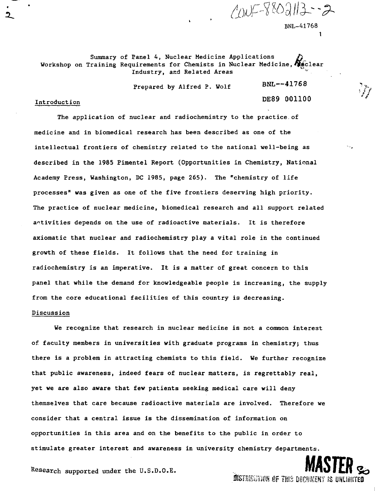$2005 - 8802113 - 2$ BNL-41768 1

Summary of Panel 4, Nuclear Medicine Applications Workshop on Training Requirements for Chemists in Nuclear Medicine,  $\hat{N}_{\text{B}}$ clear Industry, and Related Areas

Prepared by Alfred P. Wolf

DE8 9 00110 °

 $BNL - 41768$ 

## Introduction

The application of nuclear and radiochemistry to the practice of medicine and in biomedical research has been described as one of the intellectual frontiers of chemistry related to the national well-being as described in the 1985 Pimentel Report (Opportunities in Chemistry, National Academy Press, Washington, DC 1985, page 265). The "chemistry of life processes" was given as one of the five frontiers deserving high priority. The practice of nuclear medicine, biomedical research and all support related activities depends on the use of radioactive materials. It is therefore axiomatic that nuclear and radiochemistry play a vital role in the continued growth of these fields. It follows that the need for training in radiochemistry is an imperative. It is a natter of great concern to this panel that while the demand for knowledgeable people is increasing, the supply from the core educational facilities of this country is decreasing.

# Discussion

We recognize that research in nuclear medicine is not a common interest of faculty members in universities with graduate programs in chemistry; thus there is a problem in attracting chemists to this field. We further recognize that public awareness, indeed fears of nuclear matters, is regrettably real, yet we are also aware that few patients seeking medical care will deny themselves that care because radioactive materials are involved. Therefore we consider that a central issue is the dissemination of information on opportunities in this area and on the benefits to the public in order to stimulate greater interest and awareness in university chemistry departments.

Research supported under the U.S.D.O.E. ., **IWlv I Lfl** *%*  $\frac{1}{2}$  . Further the set  $\frac{1}{2}$  and  $\frac{1}{2}$  and  $\frac{1}{2}$  and  $\frac{1}{2}$  and  $\frac{1}{2}$  and  $\frac{1}{2}$  and  $\frac{1}{2}$  and  $\frac{1}{2}$  and  $\frac{1}{2}$  and  $\frac{1}{2}$  and  $\frac{1}{2}$  and  $\frac{1}{2}$  and  $\frac{1}{2}$  and  $\frac{1}{2}$  a

**MSTFR**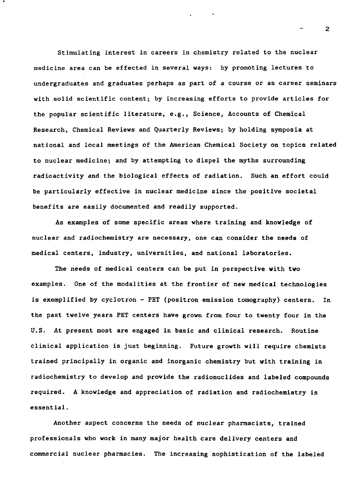Stimulating interest in careers in chemistry related to the nuclear medicine area can be effected in several ways: by promoting lectures to undergraduates and graduates perhaps as part of a course or as career seminars with solid scientific content; by increasing efforts to provide articles for the popular scientific literature, e.g., Science, Accounts of Chemical Research, Chemical Reviews and Quarterly Reviews; by holding symposia at national and local meetings of the American Chemical Society on topics related to nuclear medicine; and by attempting to dispel the myths surrounding radioactivity and the biological effects of radiation. Such an effort could be particularly effective in nuclear medicine since the positive societal benefits are easily documented and readily supported.

As examples of some specific areas where training and knowledge of nuclear and radiochemistry are necessary, one can consider the needs of medical centers, industry, universities, and national laboratories.

The needs of medical centers can be put in perspective with two examples. One of the modalities at the frontier of new medical technologies is exemplified by cyclotron - PET (positron emission tomography) centers. In the past twelve years PET centers have grown from four to twenty four in the U.S. At present most are engaged in basic and clinical research. Routine clinical application is just beginning. Future growth will require chemists trained principally in organic and inorganic chemistry but with training in radiochemistry to develop and provide the radionuclides and labeled compounds required. A knowledge and appreciation of radiation and radiochemistry is essential.

Another aspect concerns the needs of nuclear pharmacists, trained professionals who work in many major health care delivery centers and commercial nuclear pharmacies. The increasing sophistication of the labeled

 $\overline{2}$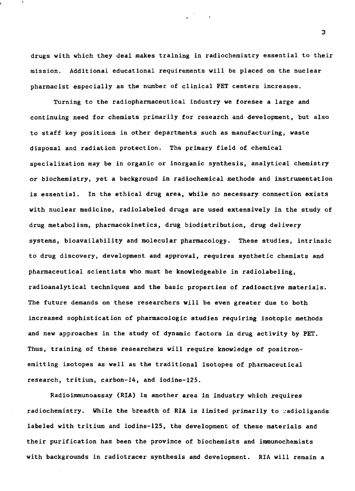drugs with which they deal makes training in radiochemistry essential to their mission. Additional educational requirements will be placed on the nuclear pharmacist especially as the number of clinical PET centers increases.

Turning to the radiopharmaceutical industry we foresee a large and continuing need for chemists primarily for research and development, but also to staff key positions in other departments such as manufacturing, waste disposal and radiation protection. The primary field of chemical specialization may be in organic or inorganic synthesis, analytical chemistry or biochemistry, yet a background in radiochemical methods and instrumentation is essential. In the ethical drug area, while no necessary connection exists with nuclear medicine, radiolabeled drugs are used extensively in the study of drug metabolism, pharmacokinetics, drug biodistribution, drug delivery systems, bioavailability and molecular pharmacology. These studies, intrinsic to drug discovery, development and approval, requires synthetic chemists and pharmaceutical scientists who must be knowledgeable in radiolabeling, radioanalytical techniques and the basic properties of radioactive materials. The future demands on these researchers will be even greater due to both increased sophistication of pharmacologic studies requiring isotopic methods and new approaches in the study of dynamic factors in drug activity by PET. Thus, training of these researchers will require knowledge of positronemitting isotopes as well as the traditional isotopes of pharmaceutical research, tritium, carbon-14, and iodine-125.

Radioimmunoassay (RIA) is another area in industry which requires radiochemistry. While the breadth of **RIA** is limited primarily to vadioligands labeled with tritium and iodine-125, the development of these materials and their purification has been the province of biochemists and immunochemists with backgrounds in radiotracer synthesis and development. RIA will remain a

3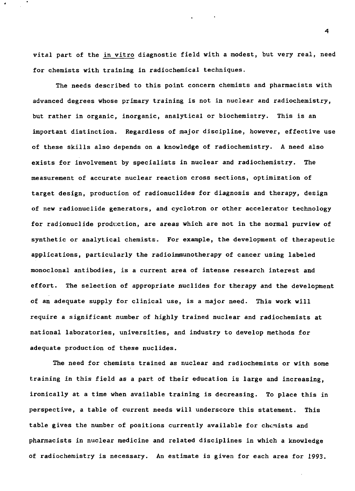vital part of the in vitro diagnostic field with a modest, but very real, need for chemists with training in radiochemical techniques.

The needs described to this point concern chemists and pharmacists with advanced degrees whose primary training is not in nuclear and radiochemistry, but rather in organic, inorganic, analytical or biochemistry. This is an important distinction. Regardless of major discipline, however, effective use of these skills also depends on a knowledge of radiochemistry. A need also exists for involvement by specialists in nuclear and radiochemistry. The measurement of accurate nuclear reaction cross sections, optimization of target design, production of radionuclides for diagnosis and therapy, design of new radionuclide generators, and cyclotron or other accelerator technology for radionuclide production, are areas which are not in the normal purview of synthetic or analytical chemists. For example, the development of therapeutic applications, particularly the radioimmunotherapy of cancer using labeled monoclonal antibodies, is a current area of intense research interest and effort. The selection of appropriate nuclides for therapy and the development of an adequate supply for clinical use, is a major need. This work will require a significant number of highly trained nuclear and radiochemists at national laboratories, universities, and industry to develop methods for adequate production of these nuclides.

The need for chemists trained as nuclear and radiochemists or with some training in this field as a part of their education is large and increasing, ironically at a time when available training is decreasing. To place this in perspective, a table of current needs will underscore this statement. This table gives the number of positions currently available for chemists and pharmacists in nuclear medicine and related disciplines in which a knowledge of radiochemistry is necessary. An estimate is given for each area for 1993.

4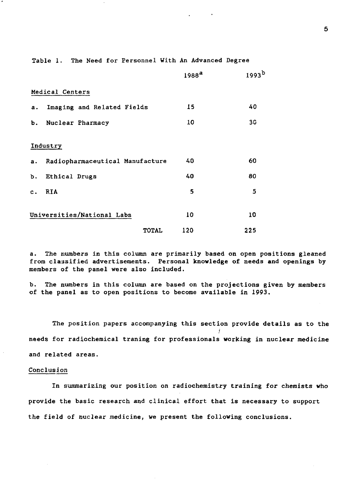Table 1. The Need for Personnel With An Advanced Degree

|                            |                                 |              | 1988 <sup>a</sup> | 1993 <sup>b</sup> |
|----------------------------|---------------------------------|--------------|-------------------|-------------------|
|                            | Medical Centers                 |              |                   |                   |
| а.                         | Imaging and Related Fields      |              | 15                | 40                |
| Ъ.                         | Nuclear Pharmacy                |              | 10                | 30                |
|                            | Industry                        |              |                   |                   |
| a.                         | Radiopharmaceutical Manufacture |              | 40                | 60                |
| ъ.                         | Ethical Drugs                   |              | 40                | 80                |
| $c$ .                      | RIA                             |              | 5                 | 5                 |
| Universities/National Labs |                                 | 10           | 10                |                   |
|                            |                                 | <b>TOTAL</b> | 120               | 225               |

a. The numbers in this column are primarily based on open positions gleaned from classified advertisements. Personal knowledge of needs and openings by members of the panel were also included.

b. The numbers in this column are based on the projections given by members of the panel as to open positions to become available in 1993.

The position papers accompanying this section provide details as to the needs for radiochemical traning for professionals working in nuclear medicine and related areas.

#### Conclusion

In summarizing our position on radiochemistry training for chemists who provide the basic research and clinical effort that is necessary to support the field of nuclear medicine, we present the following conclusions.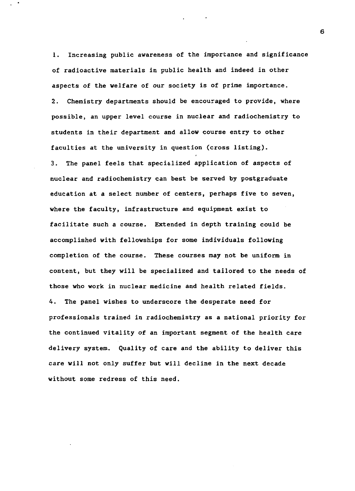1. Increasing public awareness of the importance and significance of radioactive materials in public health and indeed in other aspects of the welfare of our society is of prime importance. 2. Chemistry departments should be encouraged to provide, where possible, an upper level course in nuclear and radiochemistry to students in their department and allow course entry to other faculties at the university in question (cross listing). 3. The panel feels that specialized application of aspects of nuclear and radiochemistry can best be served by postgraduate education at a select number of centers, perhaps five to seven, where the faculty, infrastructure and equipment exist to facilitate such a course. Extended in depth training could be accomplished with fellowships for some individuals following completion of the course. These courses may not be uniform in content, but they will be specialized and tailored to the needs of those who work in nuclear medicine and health related fields. 4. The panel wishes to underscore the desperate need for professionals trained in radiochemistry as a national priority for the continued vitality of an important segment of the health care delivery system. Quality of care and the ability to deliver this care will not only suffer but will decline in the next decade without some redress of this need.

6